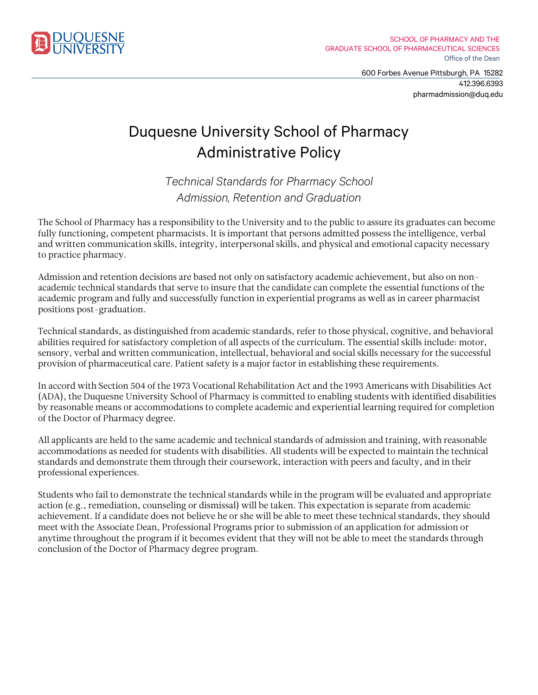

600 Forbes Avenue Pittsburgh, PA 15282 412.396.6393 pharmadmission@duq.edu

## Duquesne University School of Pharmacy Administrative Policy

*Technical Standards for Pharmacy School Admission, Retention and Graduation*

The School of Pharmacy has a responsibility to the University and to the public to assure its graduates can become fully functioning, competent pharmacists. It is important that persons admitted possess the intelligence, verbal and written communication skills, integrity, interpersonal skills, and physical and emotional capacity necessary to practice pharmacy.

Admission and retention decisions are based not only on satisfactory academic achievement, but also on nonacademic technical standards that serve to insure that the candidate can complete the essential functions of the academic program and fully and successfully function in experiential programs as well as in career pharmacist positions post-graduation.

Technical standards, as distinguished from academic standards, refer to those physical, cognitive, and behavioral abilities required for satisfactory completion of all aspects of the curriculum. The essential skills include: motor, sensory, verbal and written communication, intellectual, behavioral and social skills necessary for the successful provision of pharmaceutical care. Patient safety is a major factor in establishing these requirements.

In accord with Section 504 of the 1973 Vocational Rehabilitation Act and the 1993 Americans with Disabilities Act (ADA), the Duquesne University School of Pharmacy is committed to enabling students with identified disabilities by reasonable means or accommodations to complete academic and experiential learning required for completion of the Doctor of Pharmacy degree.

All applicants are held to the same academic and technical standards of admission and training, with reasonable accommodations as needed for students with disabilities. All students will be expected to maintain the technical standards and demonstrate them through their coursework, interaction with peers and faculty, and in their professional experiences.

Students who fail to demonstrate the technical standards while in the program will be evaluated and appropriate action (e.g., remediation, counseling or dismissal) will be taken. This expectation is separate from academic achievement. If a candidate does not believe he or she will be able to meet these technical standards, they should meet with the Associate Dean, Professional Programs prior to submission of an application for admission or anytime throughout the program if it becomes evident that they will not be able to meet the standards through conclusion of the Doctor of Pharmacy degree program.